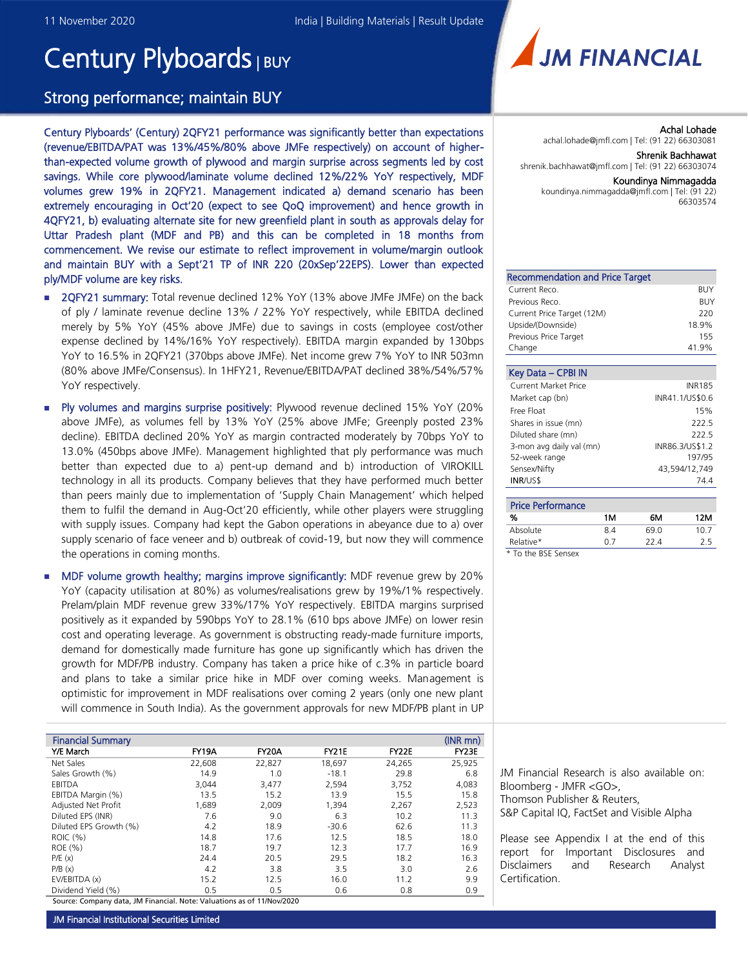# Century Plyboards | BUY

## Strong performance; maintain BUY

Century Plyboards' (Century) 2QFY21 performance was significantly better than expectations (revenue/EBITDA/PAT was 13%/45%/80% above JMFe respectively) on account of higherthan-expected volume growth of plywood and margin surprise across segments led by cost savings. While core plywood/laminate volume declined 12%/22% YoY respectively, MDF volumes grew 19% in 2QFY21. Management indicated a) demand scenario has been extremely encouraging in Oct'20 (expect to see QoQ improvement) and hence growth in 4QFY21, b) evaluating alternate site for new greenfield plant in south as approvals delay for Uttar Pradesh plant (MDF and PB) and this can be completed in 18 months from commencement. We revise our estimate to reflect improvement in volume/margin outlook and maintain BUY with a Sept'21 TP of INR 220 (20xSep'22EPS). Lower than expected ply/MDF volume are key risks.

- **2QFY21 summary:** Total revenue declined 12% YoY (13% above JMFe JMFe) on the back of ply / laminate revenue decline 13% / 22% YoY respectively, while EBITDA declined merely by 5% YoY (45% above JMFe) due to savings in costs (employee cost/other expense declined by 14%/16% YoY respectively). EBITDA margin expanded by 130bps YoY to 16.5% in 2QFY21 (370bps above JMFe). Net income grew 7% YoY to INR 503mn (80% above JMFe/Consensus). In 1HFY21, Revenue/EBITDA/PAT declined 38%/54%/57% YoY respectively.
- **Ply volumes and margins surprise positively:** Plywood revenue declined 15% YoY (20%) above JMFe), as volumes fell by 13% YoY (25% above JMFe; Greenply posted 23% decline). EBITDA declined 20% YoY as margin contracted moderately by 70bps YoY to 13.0% (450bps above JMFe). Management highlighted that ply performance was much better than expected due to a) pent-up demand and b) introduction of VIROKILL technology in all its products. Company believes that they have performed much better than peers mainly due to implementation of 'Supply Chain Management' which helped them to fulfil the demand in Aug-Oct'20 efficiently, while other players were struggling with supply issues. Company had kept the Gabon operations in abeyance due to a) over supply scenario of face veneer and b) outbreak of covid-19, but now they will commence the operations in coming months.
- MDF volume growth healthy; margins improve significantly: MDF revenue grew by 20% YoY (capacity utilisation at 80%) as volumes/realisations grew by 19%/1% respectively. Prelam/plain MDF revenue grew 33%/17% YoY respectively. EBITDA margins surprised positively as it expanded by 590bps YoY to 28.1% (610 bps above JMFe) on lower resin cost and operating leverage. As government is obstructing ready-made furniture imports, demand for domestically made furniture has gone up significantly which has driven the growth for MDF/PB industry. Company has taken a price hike of c.3% in particle board and plans to take a similar price hike in MDF over coming weeks. Management is optimistic for improvement in MDF realisations over coming 2 years (only one new plant will commence in South India). As the government approvals for new MDF/PB plant in UP

| <b>Financial Summary</b>                                               |        |              |              |              | $(NR \, \text{mn})$ |
|------------------------------------------------------------------------|--------|--------------|--------------|--------------|---------------------|
|                                                                        |        |              |              |              |                     |
| Y/E March                                                              | FY19A  | <b>FY20A</b> | <b>FY21E</b> | <b>FY22E</b> | FY23E               |
| Net Sales                                                              | 22,608 | 22,827       | 18,697       | 24,265       | 25,925              |
| Sales Growth (%)                                                       | 14.9   | 1.0          | $-18.1$      | 29.8         | 6.8                 |
| EBITDA                                                                 | 3,044  | 3,477        | 2,594        | 3,752        | 4,083               |
| EBITDA Margin (%)                                                      | 13.5   | 15.2         | 13.9         | 15.5         | 15.8                |
| Adjusted Net Profit                                                    | 1,689  | 2,009        | 1,394        | 2,267        | 2,523               |
| Diluted EPS (INR)                                                      | 7.6    | 9.0          | 6.3          | 10.2         | 11.3                |
| Diluted EPS Growth (%)                                                 | 4.2    | 18.9         | $-30.6$      | 62.6         | 11.3                |
| ROIC (%)                                                               | 14.8   | 17.6         | 12.5         | 18.5         | 18.0                |
| ROE (%)                                                                | 18.7   | 19.7         | 12.3         | 17.7         | 16.9                |
| P/E(x)                                                                 | 24.4   | 20.5         | 29.5         | 18.2         | 16.3                |
| P/B(x)                                                                 | 4.2    | 3.8          | 3.5          | 3.0          | 2.6                 |
| EV/EBITDA (x)                                                          | 15.2   | 12.5         | 16.0         | 11.2         | 9.9                 |
| Dividend Yield (%)                                                     | 0.5    | 0.5          | 0.6          | 0.8          | 0.9                 |
| Source: Company data. JM Financial, Note: Valuations as of 11/Nov/2020 |        |              |              |              |                     |



Achal Lohade achal.lohade@jmfl.com | Tel: (91 22) 66303081 Shrenik Bachhawat

shrenik.bachhawat@jmfl.com | Tel: (91 22) 66303074

#### Koundinya Nimmagadda

koundinya.nimmagadda@jmfl.com | Tel: (91 22) 66303574

| <b>Recommendation and Price Target</b> |            |
|----------------------------------------|------------|
| Current Reco.                          | BUY        |
| Previous Reco.                         | <b>BUY</b> |
| Current Price Target (12M)             | 220        |
| Upside/(Downside)                      | 18.9%      |
| Previous Price Target                  | 155        |
| Change                                 | 41.9%      |

| Key Data - CPBI IN          |                 |
|-----------------------------|-----------------|
| <b>Current Market Price</b> | <b>INR185</b>   |
| Market cap (bn)             | INR41.1/US\$0.6 |
| Free Float                  | 15%             |
| Shares in issue (mn)        | 222.5           |
| Diluted share (mn)          | 222.5           |
| 3-mon avg daily val (mn)    | INR86.3/US\$1.2 |
| 52-week range               | 197/95          |
| Sensex/Nifty                | 43,594/12,749   |
| <b>INR/US\$</b>             | 74.4            |

| <b>Price Performance</b> |     |      |      |
|--------------------------|-----|------|------|
| %                        | 1M  | 6М   | 12M  |
| Absolute                 | 84  | 69 N | 10.7 |
| Relative*                | ሰ 7 | 22 A | 25   |

*\* To the BSE Sensex*

JM Financial Research is also available on: Bloomberg - JMFR <GO>, Thomson Publisher & Reuters, S&P Capital IQ, FactSet and Visible Alpha

Please see Appendix I at the end of this report for Important Disclosures and Disclaimers and Research Analyst Certification.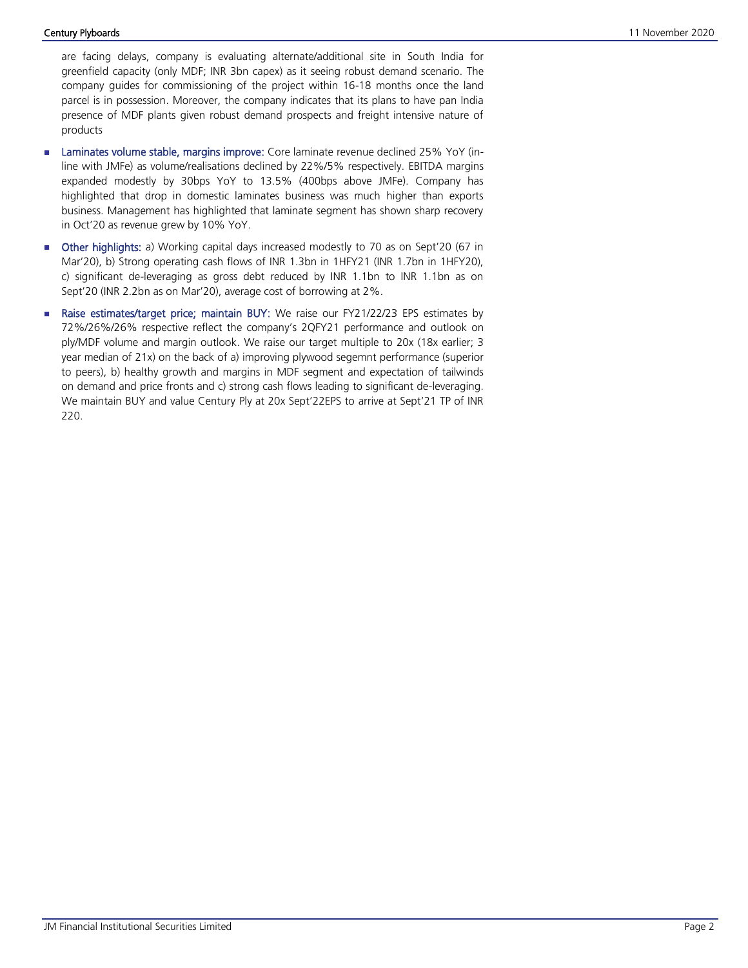are facing delays, company is evaluating alternate/additional site in South India for greenfield capacity (only MDF; INR 3bn capex) as it seeing robust demand scenario. The company guides for commissioning of the project within 16-18 months once the land parcel is in possession. Moreover, the company indicates that its plans to have pan India presence of MDF plants given robust demand prospects and freight intensive nature of products

- **Laminates volume stable, margins improve:** Core laminate revenue declined 25% YoY (inline with JMFe) as volume/realisations declined by 22%/5% respectively. EBITDA margins expanded modestly by 30bps YoY to 13.5% (400bps above JMFe). Company has highlighted that drop in domestic laminates business was much higher than exports business. Management has highlighted that laminate segment has shown sharp recovery in Oct'20 as revenue grew by 10% YoY.
- Other highlights: a) Working capital days increased modestly to 70 as on Sept'20 (67 in Mar'20), b) Strong operating cash flows of INR 1.3bn in 1HFY21 (INR 1.7bn in 1HFY20), c) significant de-leveraging as gross debt reduced by INR 1.1bn to INR 1.1bn as on Sept'20 (INR 2.2bn as on Mar'20), average cost of borrowing at 2%.
- Raise estimates/target price; maintain BUY: We raise our FY21/22/23 EPS estimates by 72%/26%/26% respective reflect the company's 2QFY21 performance and outlook on ply/MDF volume and margin outlook. We raise our target multiple to 20x (18x earlier; 3 year median of 21x) on the back of a) improving plywood segemnt performance (superior to peers), b) healthy growth and margins in MDF segment and expectation of tailwinds on demand and price fronts and c) strong cash flows leading to significant de-leveraging. We maintain BUY and value Century Ply at 20x Sept'22EPS to arrive at Sept'21 TP of INR 220.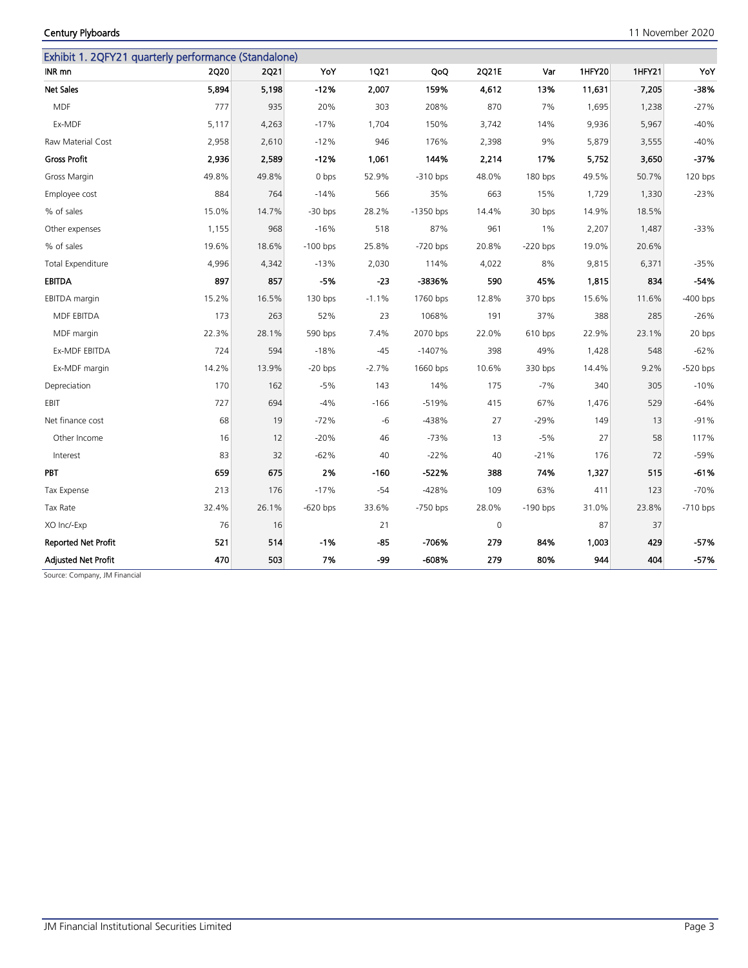JM Financial Institutional Securities Limited **Page 3** Page 3

|                            |             |             | Exhibit 1. 2QFY21 quarterly performance (Standalone) |             |             |             |            |        |        |            |
|----------------------------|-------------|-------------|------------------------------------------------------|-------------|-------------|-------------|------------|--------|--------|------------|
| INR mn                     | <b>2Q20</b> | <b>2Q21</b> | YoY                                                  | <b>1Q21</b> | QoQ         | 2Q21E       | Var        | 1HFY20 | 1HFY21 | YoY        |
| <b>Net Sales</b>           | 5,894       | 5,198       | $-12%$                                               | 2,007       | 159%        | 4,612       | 13%        | 11,631 | 7,205  | -38%       |
| <b>MDF</b>                 | 777         | 935         | 20%                                                  | 303         | 208%        | 870         | 7%         | 1,695  | 1,238  | $-27%$     |
| Ex-MDF                     | 5,117       | 4,263       | $-17%$                                               | 1,704       | 150%        | 3,742       | 14%        | 9,936  | 5,967  | $-40%$     |
| Raw Material Cost          | 2,958       | 2,610       | $-12%$                                               | 946         | 176%        | 2,398       | 9%         | 5,879  | 3,555  | $-40%$     |
| <b>Gross Profit</b>        | 2,936       | 2,589       | $-12%$                                               | 1,061       | 144%        | 2,214       | 17%        | 5,752  | 3,650  | $-37%$     |
| Gross Margin               | 49.8%       | 49.8%       | 0 bps                                                | 52.9%       | $-310$ bps  | 48.0%       | 180 bps    | 49.5%  | 50.7%  | 120 bps    |
| Employee cost              | 884         | 764         | $-14%$                                               | 566         | 35%         | 663         | 15%        | 1,729  | 1,330  | $-23%$     |
| % of sales                 | 15.0%       | 14.7%       | $-30$ bps                                            | 28.2%       | $-1350$ bps | 14.4%       | 30 bps     | 14.9%  | 18.5%  |            |
| Other expenses             | 1,155       | 968         | $-16%$                                               | 518         | 87%         | 961         | $1\%$      | 2,207  | 1,487  | $-33%$     |
| % of sales                 | 19.6%       | 18.6%       | $-100$ bps                                           | 25.8%       | $-720$ bps  | 20.8%       | $-220$ bps | 19.0%  | 20.6%  |            |
| Total Expenditure          | 4,996       | 4,342       | $-13%$                                               | 2,030       | 114%        | 4,022       | 8%         | 9,815  | 6,371  | $-35%$     |
| <b>EBITDA</b>              | 897         | 857         | $-5%$                                                | $-23$       | -3836%      | 590         | 45%        | 1,815  | 834    | $-54%$     |
| EBITDA margin              | 15.2%       | 16.5%       | $130$ bps                                            | $-1.1%$     | 1760 bps    | 12.8%       | 370 bps    | 15.6%  | 11.6%  | $-400$ bps |
| MDF EBITDA                 | 173         | 263         | 52%                                                  | 23          | 1068%       | 191         | 37%        | 388    | 285    | $-26%$     |
| MDF margin                 | 22.3%       | 28.1%       | 590 bps                                              | 7.4%        | 2070 bps    | 22.0%       | 610 bps    | 22.9%  | 23.1%  | 20 bps     |
| Ex-MDF EBITDA              | 724         | 594         | $-18%$                                               | $-45$       | $-1407%$    | 398         | 49%        | 1,428  | 548    | $-62%$     |
| Ex-MDF margin              | 14.2%       | 13.9%       | $-20$ bps                                            | $-2.7%$     | 1660 bps    | 10.6%       | 330 bps    | 14.4%  | 9.2%   | $-520$ bps |
| Depreciation               | 170         | 162         | $-5%$                                                | 143         | 14%         | 175         | $-7%$      | 340    | 305    | $-10%$     |
| EBIT                       | 727         | 694         | $-4%$                                                | $-166$      | $-519%$     | 415         | 67%        | 1,476  | 529    | $-64%$     |
| Net finance cost           | 68          | 19          | $-72%$                                               | -6          | -438%       | 27          | $-29%$     | 149    | 13     | $-91%$     |
| Other Income               | 16          | 12          | $-20%$                                               | 46          | $-73%$      | 13          | $-5%$      | 27     | 58     | 117%       |
| Interest                   | 83          | 32          | $-62%$                                               | 40          | $-22%$      | 40          | $-21%$     | 176    | 72     | $-59%$     |
| <b>PBT</b>                 | 659         | 675         | 2%                                                   | $-160$      | $-522%$     | 388         | 74%        | 1,327  | 515    | $-61%$     |
| Tax Expense                | 213         | 176         | $-17%$                                               | $-54$       | $-428%$     | 109         | 63%        | 411    | 123    | $-70%$     |
| Tax Rate                   | 32.4%       | 26.1%       | $-620$ bps                                           | 33.6%       | $-750$ bps  | 28.0%       | $-190$ bps | 31.0%  | 23.8%  | $-710$ bps |
| XO Inc/-Exp                | 76          | 16          |                                                      | 21          |             | $\mathbf 0$ |            | 87     | 37     |            |
| <b>Reported Net Profit</b> | 521         | 514         | $-1%$                                                | $-85$       | -706%       | 279         | 84%        | 1,003  | 429    | $-57%$     |
| <b>Adjusted Net Profit</b> | 470         | 503         | 7%                                                   | -99         | -608%       | 279         | 80%        | 944    | 404    | $-57%$     |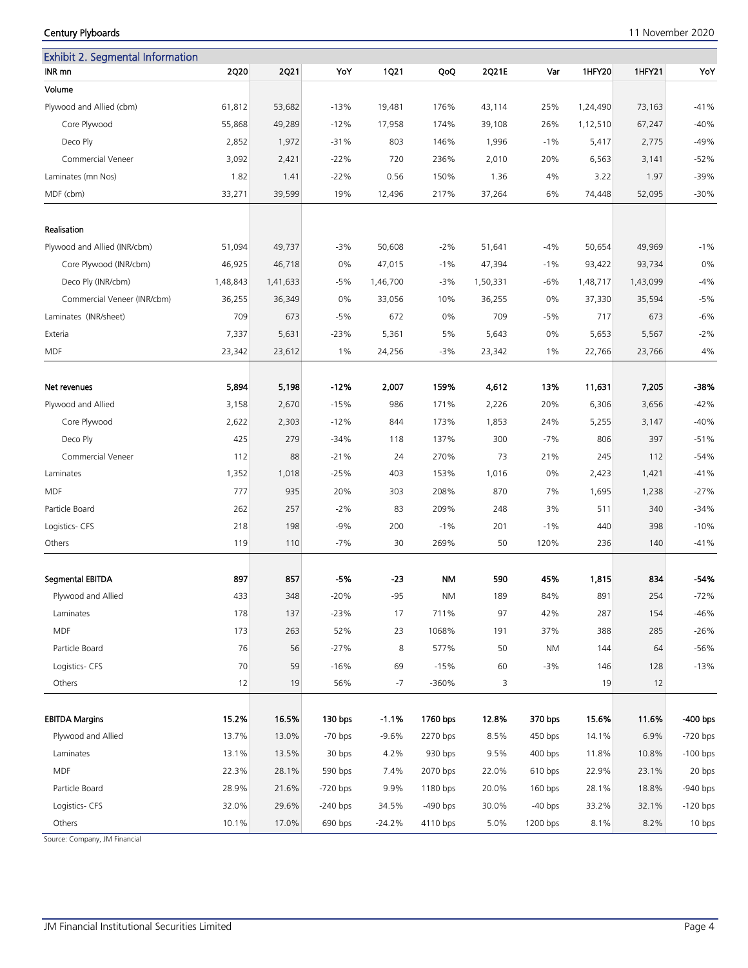| <b>Exhibit 2. Segmental Information</b> |                |                |                      |              |                      |               |                      |                |                |                          |
|-----------------------------------------|----------------|----------------|----------------------|--------------|----------------------|---------------|----------------------|----------------|----------------|--------------------------|
| INR mn                                  | 2Q20           | <b>2Q21</b>    | YoY                  | <b>1Q21</b>  | QoQ                  | 2Q21E         | Var                  | <b>1HFY20</b>  | 1HFY21         | YoY                      |
| Volume                                  |                |                |                      |              |                      |               |                      |                |                |                          |
| Plywood and Allied (cbm)                | 61,812         | 53,682         | $-13%$               | 19,481       | 176%                 | 43,114        | 25%                  | 1,24,490       | 73,163         | $-41%$                   |
| Core Plywood                            | 55,868         | 49,289         | $-12%$               | 17,958       | 174%                 | 39,108        | 26%                  | 1,12,510       | 67,247         | $-40%$                   |
| Deco Ply                                | 2,852          | 1,972          | $-31%$               | 803          | 146%                 | 1,996         | $-1%$                | 5,417          | 2,775          | $-49%$                   |
| Commercial Veneer                       | 3,092          | 2,421          | $-22%$               | 720          | 236%                 | 2,010         | 20%                  | 6,563          | 3,141          | $-52%$                   |
| Laminates (mn Nos)                      | 1.82           | 1.41           | $-22%$               | 0.56         | 150%                 | 1.36          | 4%                   | 3.22           | 1.97           | $-39%$                   |
| MDF (cbm)                               | 33,271         | 39,599         | 19%                  | 12,496       | 217%                 | 37,264        | 6%                   | 74,448         | 52,095         | $-30%$                   |
| Realisation                             |                |                |                      |              |                      |               |                      |                |                |                          |
| Plywood and Allied (INR/cbm)            | 51,094         | 49,737         | -3%                  | 50,608       | $-2%$                | 51,641        | $-4%$                | 50,654         | 49,969         | $-1%$                    |
| Core Plywood (INR/cbm)                  | 46,925         | 46,718         | 0%                   | 47,015       | $-1%$                | 47,394        | $-1%$                | 93,422         | 93,734         | 0%                       |
| Deco Ply (INR/cbm)                      | 1,48,843       | 1,41,633       | -5%                  | 1,46,700     | $-3%$                | 1,50,331      | $-6%$                | 1,48,717       | 1,43,099       | $-4%$                    |
| Commercial Veneer (INR/cbm)             | 36,255         | 36,349         | 0%                   | 33,056       | 10%                  | 36,255        | 0%                   | 37,330         | 35,594         | $-5%$                    |
| Laminates (INR/sheet)                   | 709            | 673            | $-5%$                | 672          | 0%                   | 709           | $-5%$                | 717            | 673            | $-6%$                    |
| Exteria                                 | 7,337          | 5,631          | $-23%$               | 5,361        | 5%                   | 5,643         | 0%                   | 5,653          | 5,567          | $-2%$                    |
| <b>MDF</b>                              | 23,342         | 23,612         | 1%                   | 24,256       | $-3%$                | 23,342        | $1\%$                | 22,766         | 23,766         | 4%                       |
|                                         |                |                |                      |              |                      |               |                      |                |                |                          |
| Net revenues                            | 5,894          | 5,198          | $-12%$               | 2,007        | 159%                 | 4,612         | 13%                  | 11,631         | 7,205          | -38%                     |
| Plywood and Allied                      | 3,158          | 2,670          | $-15%$               | 986          | 171%                 | 2,226         | 20%                  | 6,306          | 3,656          | $-42%$                   |
| Core Plywood                            | 2,622          | 2,303          | $-12%$               | 844          | 173%                 | 1,853         | 24%                  | 5,255          | 3,147          | $-40%$                   |
| Deco Ply                                | 425            | 279            | $-34%$               | 118          | 137%                 | 300           | $-7%$                | 806            | 397            | $-51%$                   |
| Commercial Veneer                       | 112            | 88             | $-21%$               | 24           | 270%                 | 73            | 21%                  | 245            | 112            | $-54%$                   |
| Laminates                               | 1,352          | 1,018          | $-25%$               | 403          | 153%                 | 1,016         | 0%                   | 2,423          | 1,421          | $-41%$                   |
| MDF                                     | 777            | 935            | 20%                  | 303          | 208%                 | 870           | 7%                   | 1,695          | 1,238          | $-27%$                   |
| Particle Board                          | 262            | 257            | $-2%$                | 83           | 209%                 | 248           | 3%                   | 511            | 340            | $-34%$                   |
| Logistics- CFS                          | 218            | 198            | $-9%$                | 200          | $-1%$                | 201           | $-1%$                | 440            | 398            | $-10%$                   |
| Others                                  | 119            | 110            | $-7%$                | 30           | 269%                 | 50            | 120%                 | 236            | 140            | $-41%$                   |
| Segmental EBITDA                        | 897            | 857            | -5%                  | $-23$        | NM                   | 590           | 45%                  | 1,815          | 834            | -54%                     |
| Plywood and Allied                      | 433            | 348            | $-20%$               | $-95$        | <b>NM</b>            | 189           | 84%                  | 891            | 254            | $-72%$                   |
| Laminates                               | 178            | 137            | -23%                 | 17           | 711%                 | 97            | 42%                  | 287            | 154            | $-46%$                   |
| <b>MDF</b>                              | 173            | 263            | 52%                  | 23           | 1068%                | 191           | 37%                  | 388            | 285            | $-26%$                   |
| Particle Board                          | 76             | 56             | $-27%$               | 8            | 577%                 | 50            | <b>NM</b>            | 144            | 64             | $-56%$                   |
| Logistics- CFS                          | 70             | 59             | $-16%$               | 69           | $-15%$               | 60            | $-3%$                | 146            | 128            | $-13%$                   |
| Others                                  | 12             | 19             | 56%                  | $-7$         | -360%                | 3             |                      | 19             | 12             |                          |
|                                         |                |                |                      |              |                      |               |                      |                |                |                          |
| <b>EBITDA Margins</b>                   | 15.2%          | 16.5%          | 130 bps<br>$-70$ bps | $-1.1%$      | 1760 bps<br>2270 bps | 12.8%         | 370 bps<br>450 bps   | 15.6%          | 11.6%          | -400 bps                 |
| Plywood and Allied                      | 13.7%          | 13.0%          |                      | $-9.6%$      |                      | 8.5%          |                      | 14.1%          | 6.9%           | $-720$ bps               |
| Laminates<br><b>MDF</b>                 | 13.1%<br>22.3% | 13.5%<br>28.1% | 30 bps               | 4.2%<br>7.4% | 930 bps<br>2070 bps  | 9.5%<br>22.0% | $400$ bps<br>610 bps | 11.8%<br>22.9% | 10.8%          | $-100$ bps               |
| Particle Board                          | 28.9%          | 21.6%          | 590 bps              | 9.9%         | 1180 bps             | 20.0%         | $160$ bps            | 28.1%          | 23.1%<br>18.8% | 20 bps                   |
|                                         |                |                | $-720$ bps           |              |                      |               |                      |                |                | $-940$ bps<br>$-120$ bps |
| Logistics- CFS                          | 32.0%          | 29.6%          | $-240$ bps           | 34.5%        | -490 bps             | 30.0%         | $-40$ bps            | 33.2%          | 32.1%          |                          |

Others 10.1% 17.0% *690 bps* -24.2% *4110 bps* 5.0% *1200 bps* 8.1% 8.2% *10 bps*

Century Plyboards 11 November 2020

Source: Company, JM Financial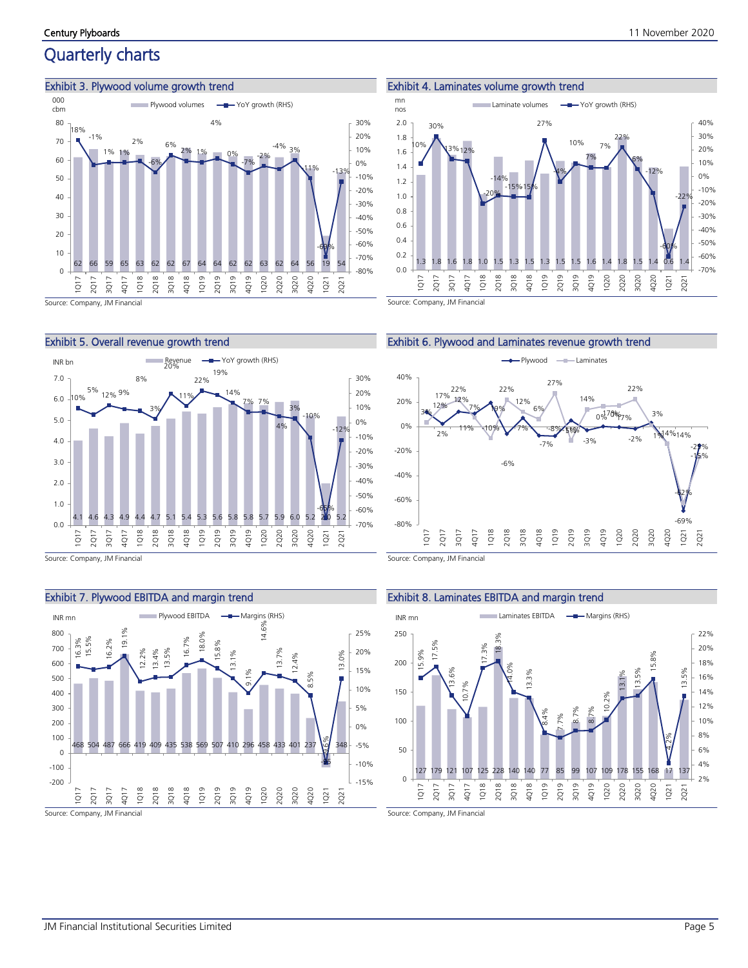## Quarterly charts

#### Exhibit 3. Plywood volume growth trend









Source: Company, JM Financial









Source: Company, JM Financial

#### Exhibit 8. Laminates EBITDA and margin trend

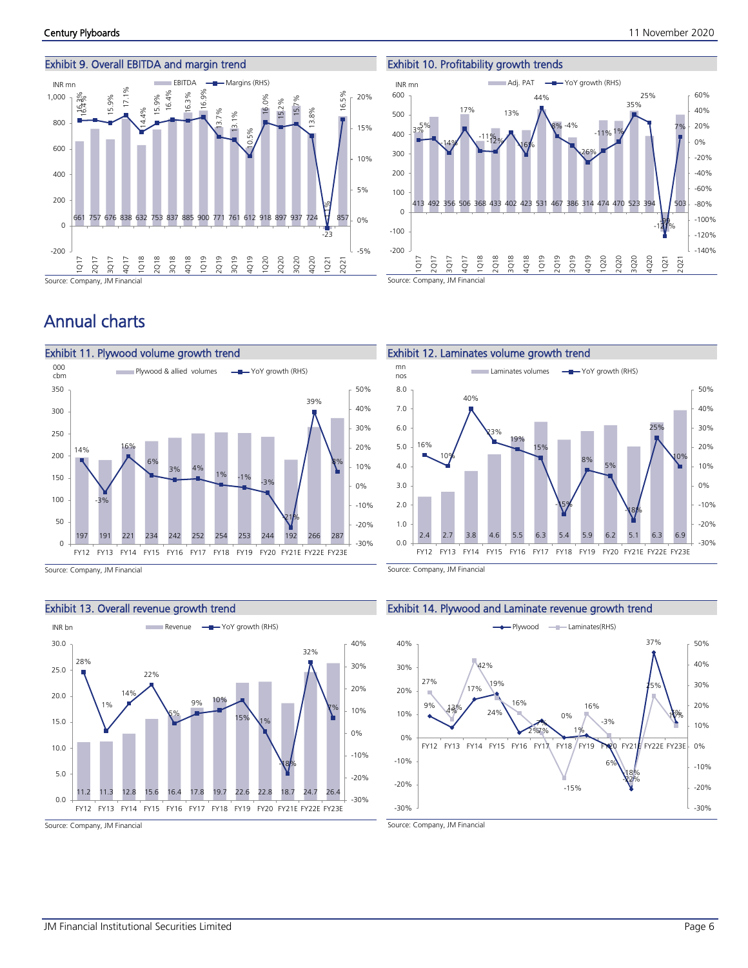#### Exhibit 9. Overall EBITDA and margin trend



Exhibit 10. Profitability growth trends 413 492 356 506 368 433 402 423 531 467 386 314 474 470 523 394 -99 503 3%5%  $-14%$ 17%  $-11\frac{9}{2}$ % 13%  $\sqrt{6\%}$ 44% 8% -4% -26%  $-11\%1\%$ 35% 25%  $-121%$ 7%  $-140%$ -120% -100% -80% -60% -40% -20% 0% 20% 40% 60% -200 -100  $\Omega$ 100 200 300  $400$ 500 600  $\bar{\circ}$  $\overline{Q}$  $\overline{\Omega}$  $\overline{Q}$  $\overline{Q}$ 2Q18 3Q18 4Q18 1Q19 2Q19 3Q19 4Q19 1Q20 2Q20 3Q20 4Q20 1Q21 2Q21 INR mn **Adj. PAT**  $\rightarrow$  YoY growth (RHS)

Source: Company, JM Financial

## Annual charts



Source: Company, JM Financial

#### Exhibit 13. Overall revenue growth trend



Source: Company, JM Financial

#### Exhibit 12. Laminates volume growth trend  $\frac{mn}{\sqrt{mn}}$  Laminates volumes  $\frac{mn}{\sqrt{mn}}$  YoY growth (RHS)



Source: Company, JM Financial

#### Exhibit 14. Plywood and Laminate revenue growth trend

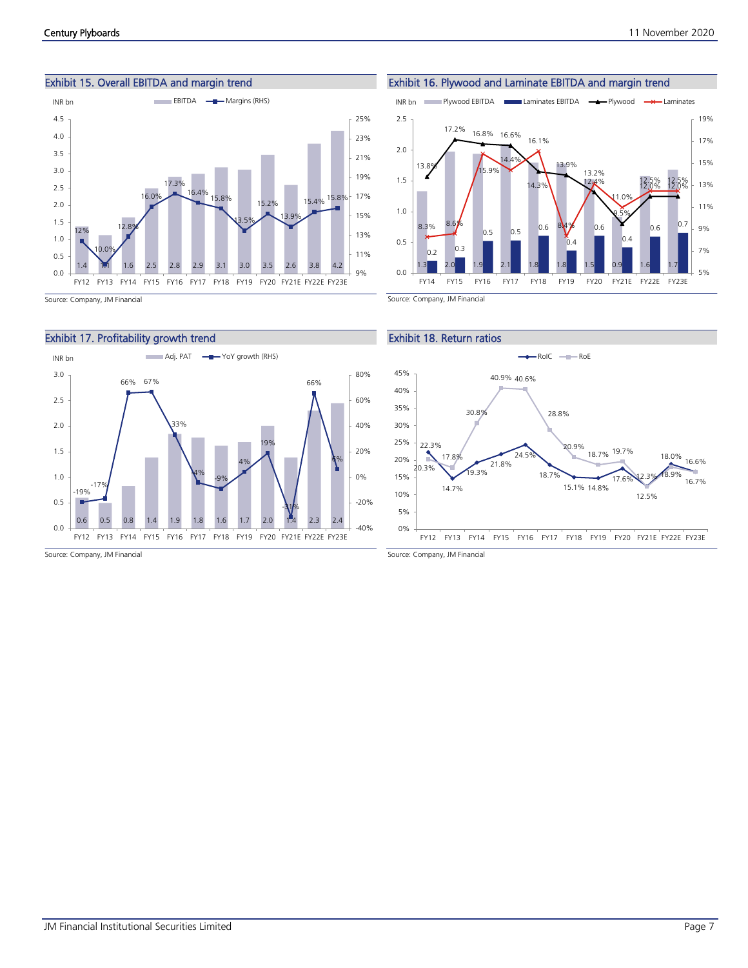



Exhibit 16. Plywood and Laminate EBITDA and margin trend







Source: Company, JM Financial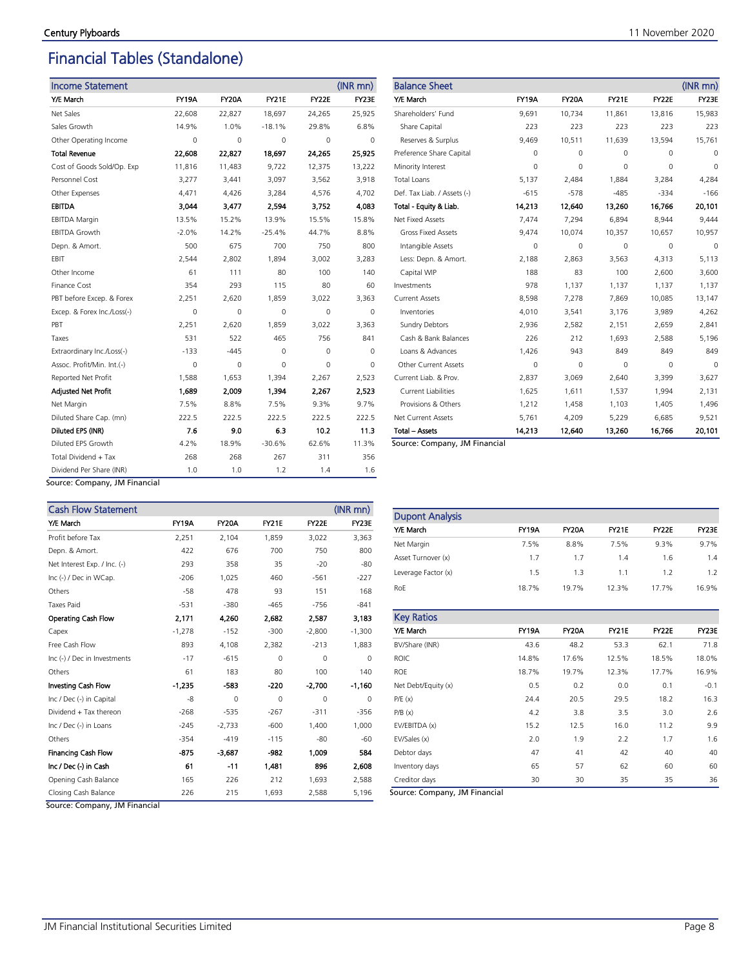## Financial Tables (Standalone)

| <b>Income Statement</b>     |              |        |              |          | $(INR$ mn $)$ |
|-----------------------------|--------------|--------|--------------|----------|---------------|
| Y/E March                   | <b>FY19A</b> | FY20A  | <b>FY21E</b> | FY22E    | FY23E         |
| Net Sales                   | 22,608       | 22,827 | 18,697       | 24,265   | 25,925        |
| Sales Growth                | 14.9%        | 1.0%   | $-18.1%$     | 29.8%    | 6.8%          |
| Other Operating Income      | $\Omega$     | 0      | 0            | $\Omega$ | $\Omega$      |
| <b>Total Revenue</b>        | 22,608       | 22,827 | 18,697       | 24,265   | 25,925        |
| Cost of Goods Sold/Op. Exp  | 11,816       | 11,483 | 9,722        | 12,375   | 13,222        |
| Personnel Cost              | 3,277        | 3,441  | 3,097        | 3,562    | 3,918         |
| Other Expenses              | 4,471        | 4,426  | 3,284        | 4,576    | 4,702         |
| <b>EBITDA</b>               | 3.044        | 3,477  | 2,594        | 3,752    | 4,083         |
| <b>EBITDA Margin</b>        | 13.5%        | 15.2%  | 13.9%        | 15.5%    | 15.8%         |
| <b>EBITDA Growth</b>        | $-2.0%$      | 14.2%  | $-25.4%$     | 44.7%    | 8.8%          |
| Depn. & Amort.              | 500          | 675    | 700          | 750      | 800           |
| EBIT                        | 2,544        | 2,802  | 1,894        | 3,002    | 3,283         |
| Other Income                | 61           | 111    | 80           | 100      | 140           |
| Finance Cost                | 354          | 293    | 115          | 80       | 60            |
| PBT before Excep. & Forex   | 2,251        | 2,620  | 1,859        | 3,022    | 3,363         |
| Excep. & Forex Inc./Loss(-) | 0            | 0      | 0            | $\Omega$ | 0             |
| PBT                         | 2.251        | 2,620  | 1,859        | 3,022    | 3,363         |
| Taxes                       | 531          | 522    | 465          | 756      | 841           |
| Extraordinary Inc./Loss(-)  | -133         | $-445$ | 0            | 0        | 0             |
| Assoc. Profit/Min. Int.(-)  | 0            | 0      | 0            | 0        | $\Omega$      |
| Reported Net Profit         | 1,588        | 1,653  | 1,394        | 2,267    | 2,523         |
| <b>Adjusted Net Profit</b>  | 1,689        | 2,009  | 1,394        | 2,267    | 2,523         |
| Net Margin                  | 7.5%         | 8.8%   | 7.5%         | 9.3%     | 9.7%          |
| Diluted Share Cap. (mn)     | 222.5        | 222.5  | 222.5        | 222.5    | 222.5         |
| Diluted EPS (INR)           | 7.6          | 9.0    | 6.3          | 10.2     | 11.3          |
| Diluted EPS Growth          | 4.2%         | 18.9%  | $-30.6%$     | 62.6%    | 11.3%         |
| Total Dividend + Tax        | 268          | 268    | 267          | 311      | 356           |
| Dividend Per Share (INR)    | 1.0          | 1.0    | 1.2          | 1.4      | 1.6           |

| <b>Balance Sheet</b>        |              |              |              |          | $(INR$ mn $)$ |
|-----------------------------|--------------|--------------|--------------|----------|---------------|
| Y/E March                   | <b>FY19A</b> | <b>FY20A</b> | <b>FY21E</b> | FY22E    | FY23E         |
| Shareholders' Fund          | 9,691        | 10,734       | 11,861       | 13,816   | 15,983        |
| Share Capital               | 223          | 223          | 223          | 223      | 223           |
| Reserves & Surplus          | 9,469        | 10,511       | 11,639       | 13,594   | 15,761        |
| Preference Share Capital    | 0            | 0            | 0            | 0        | 0             |
| Minority Interest           | 0            | 0            | $\Omega$     | 0        | $\Omega$      |
| <b>Total Loans</b>          | 5,137        | 2,484        | 1,884        | 3,284    | 4,284         |
| Def. Tax Liab. / Assets (-) | $-615$       | $-578$       | $-485$       | $-334$   | $-166$        |
| Total - Equity & Liab.      | 14.213       | 12,640       | 13.260       | 16,766   | 20,101        |
| Net Fixed Assets            | 7.474        | 7,294        | 6,894        | 8.944    | 9,444         |
| <b>Gross Fixed Assets</b>   | 9,474        | 10,074       | 10,357       | 10,657   | 10,957        |
| Intangible Assets           | 0            | 0            | $\Omega$     | $\Omega$ | $\Omega$      |
| Less: Depn. & Amort.        | 2,188        | 2,863        | 3,563        | 4,313    | 5,113         |
| Capital WIP                 | 188          | 83           | 100          | 2,600    | 3,600         |
| Investments                 | 978          | 1,137        | 1,137        | 1,137    | 1,137         |
| <b>Current Assets</b>       | 8,598        | 7,278        | 7,869        | 10,085   | 13,147        |
| Inventories                 | 4,010        | 3,541        | 3,176        | 3,989    | 4,262         |
| <b>Sundry Debtors</b>       | 2,936        | 2,582        | 2,151        | 2,659    | 2,841         |
| Cash & Bank Balances        | 226          | 212          | 1,693        | 2,588    | 5,196         |
| Loans & Advances            | 1,426        | 943          | 849          | 849      | 849           |
| Other Current Assets        | 0            | 0            | 0            | 0        | $\Omega$      |
| Current Liab. & Prov.       | 2,837        | 3,069        | 2,640        | 3,399    | 3,627         |
| <b>Current Liabilities</b>  | 1,625        | 1,611        | 1,537        | 1,994    | 2,131         |
| Provisions & Others         | 1,212        | 1,458        | 1,103        | 1,405    | 1,496         |
| Net Current Assets          | 5,761        | 4,209        | 5,229        | 6,685    | 9,521         |
| <b>Total - Assets</b>       | 14,213       | 12,640       | 13,260       | 16,766   | 20,101        |

Source: Company, JM Financial

Source: Company, JM Financial

| <b>Cash Flow Statement</b>   |              |              |              |          | (INR mn) |
|------------------------------|--------------|--------------|--------------|----------|----------|
| Y/E March                    | <b>FY19A</b> | <b>FY20A</b> | <b>FY21E</b> | FY22E    | FY23E    |
| Profit before Tax            | 2,251        | 2,104        | 1,859        | 3,022    | 3,363    |
| Depn. & Amort.               | 422          | 676          | 700          | 750      | 800      |
| Net Interest Exp. / Inc. (-) | 293          | 358          | 35           | $-20$    | $-80$    |
| Inc (-) / Dec in WCap.       | $-206$       | 1,025        | 460          | $-561$   | $-227$   |
| Others                       | $-58$        | 478          | 93           | 151      | 168      |
| <b>Taxes Paid</b>            | $-531$       | $-380$       | $-465$       | $-756$   | $-841$   |
| Operating Cash Flow          | 2,171        | 4.260        | 2.682        | 2.587    | 3,183    |
| Capex                        | $-1,278$     | $-152$       | $-300$       | $-2,800$ | $-1,300$ |
| Free Cash Flow               | 893          | 4,108        | 2,382        | $-213$   | 1,883    |
| Inc (-) / Dec in Investments | $-17$        | $-615$       | $\mathbf 0$  | 0        | $\Omega$ |
| Others                       | 61           | 183          | 80           | 100      | 140      |
| Investing Cash Flow          | $-1,235$     | -583         | $-220$       | $-2,700$ | $-1,160$ |
| Inc / Dec (-) in Capital     | -8           | $\Omega$     | $\Omega$     | $\Omega$ | $\Omega$ |
| Dividend + Tax thereon       | $-268$       | $-535$       | $-267$       | $-311$   | $-356$   |
| Inc / Dec (-) in Loans       | $-245$       | $-2,733$     | $-600$       | 1,400    | 1,000    |
| Others                       | $-354$       | $-419$       | $-115$       | $-80$    | $-60$    |
| <b>Financing Cash Flow</b>   | $-875$       | -3,687       | $-982$       | 1,009    | 584      |
| Inc / Dec (-) in Cash        | 61           | $-11$        | 1,481        | 896      | 2,608    |
| Opening Cash Balance         | 165          | 226          | 212          | 1,693    | 2,588    |
| Closing Cash Balance         | 226          | 215          | 1,693        | 2,588    | 5,196    |

Dupont Analysis Y/E March FY19A FY20A FY21E FY22E FY23E Net Margin 7.5% 8.8% 7.5% 9.3% 9.7% Asset Turnover (x) 1.7 1.7 1.4 1.6 1.4 Leverage Factor (x) 1.5 1.3 1.1 1.2 1.2 RoE 18.7% 19.7% 12.3% 17.7% 16.9%

| <b>Key Ratios</b>   |              |              |              |       |              |
|---------------------|--------------|--------------|--------------|-------|--------------|
| Y/E March           | <b>FY19A</b> | <b>FY20A</b> | <b>FY21E</b> | FY22E | <b>FY23E</b> |
| BV/Share (INR)      | 43.6         | 48.2         | 53.3         | 62.1  | 71.8         |
| <b>ROIC</b>         | 14.8%        | 17.6%        | 12.5%        | 18.5% | 18.0%        |
| <b>ROE</b>          | 18.7%        | 19.7%        | 12.3%        | 17.7% | 16.9%        |
| Net Debt/Equity (x) | 0.5          | 0.2          | 0.0          | 0.1   | $-0.1$       |
| P/E(x)              | 24.4         | 20.5         | 29.5         | 18.2  | 16.3         |
| P/B(x)              | 4.2          | 3.8          | 3.5          | 3.0   | 2.6          |
| EV/EBITDA (x)       | 15.2         | 12.5         | 16.0         | 11.2  | 9.9          |
| EV/Sales (x)        | 2.0          | 1.9          | 2.2          | 1.7   | 1.6          |
| Debtor days         | 47           | 41           | 42           | 40    | 40           |
| Inventory days      | 65           | 57           | 62           | 60    | 60           |
| Creditor days       | 30           | 30           | 35           | 35    | 36           |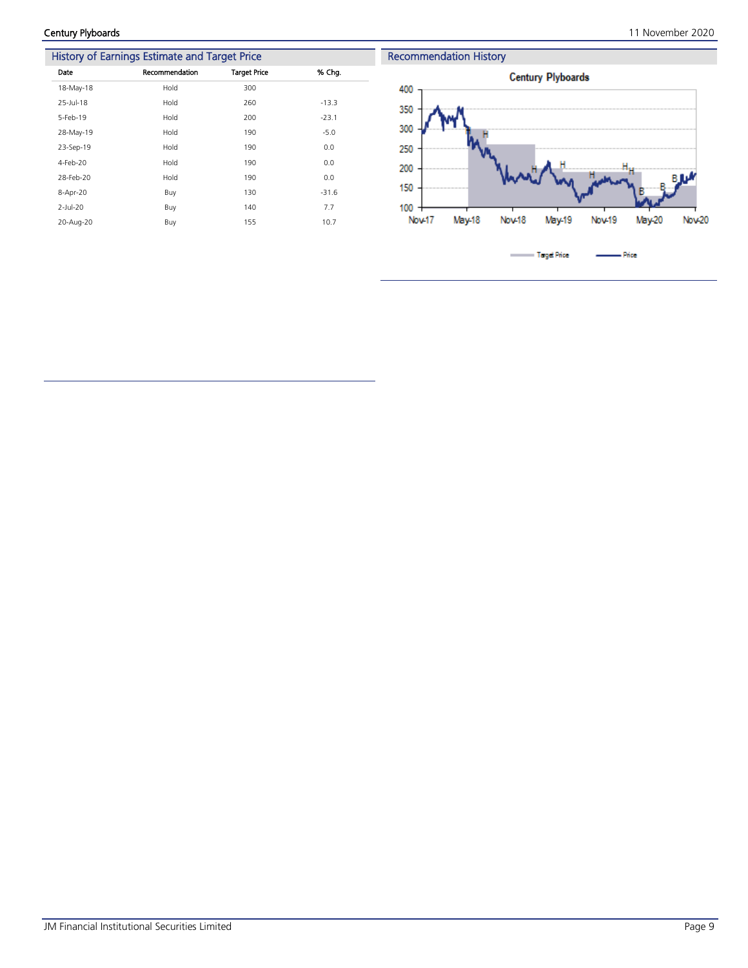|             | History of Earnings Estimate and Target Price |                     |         |  |  |  |
|-------------|-----------------------------------------------|---------------------|---------|--|--|--|
| Date        | Recommendation                                | <b>Target Price</b> | % Chg.  |  |  |  |
| 18-May-18   | Hold                                          | 300                 |         |  |  |  |
| 25-Jul-18   | Hold                                          | 260                 | $-13.3$ |  |  |  |
| 5-Feb-19    | Hold                                          | 200                 | $-23.1$ |  |  |  |
| 28-May-19   | Hold                                          | 190                 | $-5.0$  |  |  |  |
| 23-Sep-19   | Hold                                          | 190                 | 0.0     |  |  |  |
| 4-Feb-20    | Hold                                          | 190                 | 0.0     |  |  |  |
| 28-Feb-20   | Hold                                          | 190                 | 0.0     |  |  |  |
| 8-Apr-20    | Buy                                           | 130                 | $-31.6$ |  |  |  |
| $2$ -Jul-20 | Buy                                           | 140                 | 7.7     |  |  |  |
| 20-Aug-20   | Buy                                           | 155                 | 10.7    |  |  |  |
|             |                                               |                     |         |  |  |  |

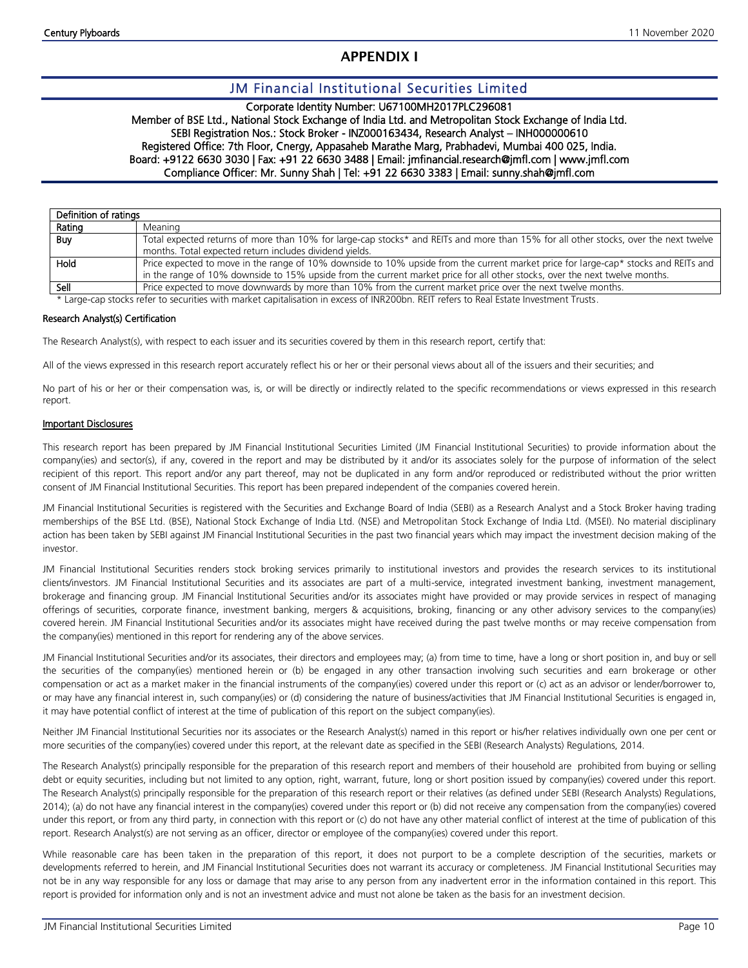### **APPENDIX I**

### JM Financial Institutional Securities Limited

#### Corporate Identity Number: U67100MH2017PLC296081

#### Member of BSE Ltd., National Stock Exchange of India Ltd. and Metropolitan Stock Exchange of India Ltd. SEBI Registration Nos.: Stock Broker - INZ000163434, Research Analyst – INH000000610 Registered Office: 7th Floor, Cnergy, Appasaheb Marathe Marg, Prabhadevi, Mumbai 400 025, India. Board: +9122 6630 3030 | Fax: +91 22 6630 3488 | Email: jmfinancial.research@jmfl.com | www.jmfl.com Compliance Officer: Mr. Sunny Shah | Tel: +91 22 6630 3383 | Email: sunny.shah@jmfl.com

| Definition of ratings |                                                                                                                                      |
|-----------------------|--------------------------------------------------------------------------------------------------------------------------------------|
| Rating                | Meaning                                                                                                                              |
| Buy                   | Total expected returns of more than 10% for large-cap stocks* and REITs and more than 15% for all other stocks, over the next twelve |
|                       | months. Total expected return includes dividend yields.                                                                              |
| Hold                  | Price expected to move in the range of 10% downside to 10% upside from the current market price for large-cap* stocks and REITs and  |
|                       | in the range of 10% downside to 15% upside from the current market price for all other stocks, over the next twelve months.          |
| Sell                  | Price expected to move downwards by more than 10% from the current market price over the next twelve months.                         |

\* Large-cap stocks refer to securities with market capitalisation in excess of INR200bn. REIT refers to Real Estate Investment Trusts.

#### Research Analyst(s) Certification

The Research Analyst(s), with respect to each issuer and its securities covered by them in this research report, certify that:

All of the views expressed in this research report accurately reflect his or her or their personal views about all of the issuers and their securities; and

No part of his or her or their compensation was, is, or will be directly or indirectly related to the specific recommendations or views expressed in this research report.

#### Important Disclosures

This research report has been prepared by JM Financial Institutional Securities Limited (JM Financial Institutional Securities) to provide information about the company(ies) and sector(s), if any, covered in the report and may be distributed by it and/or its associates solely for the purpose of information of the select recipient of this report. This report and/or any part thereof, may not be duplicated in any form and/or reproduced or redistributed without the prior written consent of JM Financial Institutional Securities. This report has been prepared independent of the companies covered herein.

JM Financial Institutional Securities is registered with the Securities and Exchange Board of India (SEBI) as a Research Analyst and a Stock Broker having trading memberships of the BSE Ltd. (BSE), National Stock Exchange of India Ltd. (NSE) and Metropolitan Stock Exchange of India Ltd. (MSEI). No material disciplinary action has been taken by SEBI against JM Financial Institutional Securities in the past two financial years which may impact the investment decision making of the investor.

JM Financial Institutional Securities renders stock broking services primarily to institutional investors and provides the research services to its institutional clients/investors. JM Financial Institutional Securities and its associates are part of a multi-service, integrated investment banking, investment management, brokerage and financing group. JM Financial Institutional Securities and/or its associates might have provided or may provide services in respect of managing offerings of securities, corporate finance, investment banking, mergers & acquisitions, broking, financing or any other advisory services to the company(ies) covered herein. JM Financial Institutional Securities and/or its associates might have received during the past twelve months or may receive compensation from the company(ies) mentioned in this report for rendering any of the above services.

JM Financial Institutional Securities and/or its associates, their directors and employees may; (a) from time to time, have a long or short position in, and buy or sell the securities of the company(ies) mentioned herein or (b) be engaged in any other transaction involving such securities and earn brokerage or other compensation or act as a market maker in the financial instruments of the company(ies) covered under this report or (c) act as an advisor or lender/borrower to, or may have any financial interest in, such company(ies) or (d) considering the nature of business/activities that JM Financial Institutional Securities is engaged in, it may have potential conflict of interest at the time of publication of this report on the subject company(ies).

Neither JM Financial Institutional Securities nor its associates or the Research Analyst(s) named in this report or his/her relatives individually own one per cent or more securities of the company(ies) covered under this report, at the relevant date as specified in the SEBI (Research Analysts) Regulations, 2014.

The Research Analyst(s) principally responsible for the preparation of this research report and members of their household are prohibited from buying or selling debt or equity securities, including but not limited to any option, right, warrant, future, long or short position issued by company(ies) covered under this report. The Research Analyst(s) principally responsible for the preparation of this research report or their relatives (as defined under SEBI (Research Analysts) Regulations, 2014); (a) do not have any financial interest in the company(ies) covered under this report or (b) did not receive any compensation from the company(ies) covered under this report, or from any third party, in connection with this report or (c) do not have any other material conflict of interest at the time of publication of this report. Research Analyst(s) are not serving as an officer, director or employee of the company(ies) covered under this report.

While reasonable care has been taken in the preparation of this report, it does not purport to be a complete description of the securities, markets or developments referred to herein, and JM Financial Institutional Securities does not warrant its accuracy or completeness. JM Financial Institutional Securities may not be in any way responsible for any loss or damage that may arise to any person from any inadvertent error in the information contained in this report. This report is provided for information only and is not an investment advice and must not alone be taken as the basis for an investment decision.